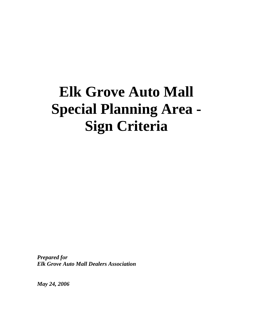# **Elk Grove Auto Mall Special Planning Area - Sign Criteria**

*Prepared for Elk Grove Auto Mall Dealers Association* 

*May 24, 2006*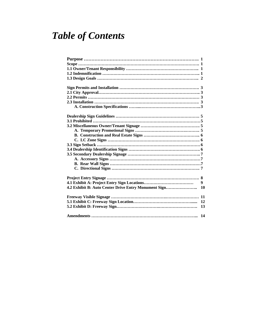# *Table of Contents*

|                                                      | 9  |
|------------------------------------------------------|----|
| 4.2 Exhibit B: Auto Center Drive Entry Monument Sign | 10 |
|                                                      |    |
|                                                      | 12 |
|                                                      | 13 |
|                                                      | 14 |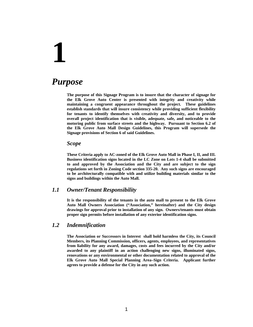## *Purpose*

**The purpose of this Signage Program is to insure that the character of signage for the Elk Grove Auto Center is presented with integrity and creativity while maintaining a congruent appearance throughout the project. These guidelines establish standards that will insure consistency while providing sufficient flexibility for tenants to identify themselves with creativity and diversity, and to provide overall project identification that is visible, adequate, safe, and noticeable to the motoring public from surface streets and the highway. Pursuant to Section 6.2 of the Elk Grove Auto Mall Design Guidelines, this Program will supersede the Signage provisions of Section 6 of said Guidelines.** 

#### *Scope*

**These Criteria apply to AC-zoned of the Elk Grove Auto Mall in Phase I, II, and III. Business identification signs located in the LC Zone on Lots 1-4 shall be submitted to and approved by the Association and the City and are subject to the sign regulations set forth in Zoning Code section 335-20. Any such signs are encouraged to be architecturally compatible with and utilize building materials similar to the signs and buildings within the Auto Mall.** 

#### *1.1 Owner/Tenant Responsibility*

**It is the responsibility of the tenants in the auto mall to present to the Elk Grove Auto Mall Owners Association ("Association," hereinafter) and the City design drawings for approval prior to installation of any sign. Owners/tenants must obtain proper sign permits before installation of any exterior identification signs.** 

#### *1.2 Indemnification*

**The Association or Successors in Interest shall hold harmless the City, its Council Members, its Planning Commission, officers, agents, employees, and representatives from liability for any award, damages, costs and fees incurred by the City and/or awarded to any plaintiff in an action challenging new signs, illuminated signs, renovations or any environmental or other documentation related to approval of the Elk Grove Auto Mall Special Planning Area–Sign Criteria. Applicant further agrees to provide a defense for the City in any such action.**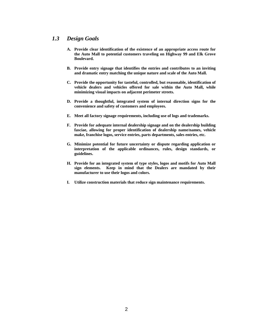#### *1.3 Design Goals*

- **A. Provide clear identification of the existence of an appropriate access route for the Auto Mall to potential customers traveling on Highway 99 and Elk Grove Boulevard.**
- **B. Provide entry signage that identifies the entries and contributes to an inviting and dramatic entry matching the unique nature and scale of the Auto Mall.**
- **C. Provide the opportunity for tasteful, controlled, but reasonable, identification of vehicle dealers and vehicles offered for sale within the Auto Mall, while minimizing visual impacts on adjacent perimeter streets.**
- **D. Provide a thoughtful, integrated system of internal direction signs for the convenience and safety of customers and employees.**
- **E. Meet all factory signage requirements, including use of logs and trademarks.**
- **F. Provide for adequate internal dealership signage and on the dealership building fasciae, allowing for proper identification of dealership name/names, vehicle make, franchise logos, service entries, parts departments, sales entries, etc.**
- **G. Minimize potential for future uncertainty or dispute regarding application or interpretation of the applicable ordinances, rules, design standards, or guidelines.**
- **H. Provide for an integrated system of type styles, logos and motifs for Auto Mall sign elements. Keep in mind that the Dealers are mandated by their manufacturer to use their logos and colors.**
- **I. Utilize construction materials that reduce sign maintenance requirements.**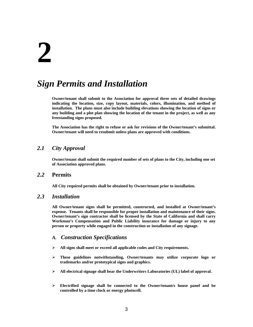## *Sign Permits and Installation*

**Owner/tenant shall submit to the Association for approval three sets of detailed drawings indicating the location, size, copy layout, materials, colors, illumination, and method of installation. The plans must also include building elevations showing the location of signs or any building and a plot plan showing the location of the tenant in the project, as well as any freestanding signs proposed.** 

**The Association has the right to refuse or ask for revisions of the Owner/tenant's submittal. Owner/tenant will need to resubmit unless plans are approved with conditions.** 

#### *2.1 City Approval*

**Owner/tenant shall submit the required number of sets of plans to the City, including one set of Association approved plans.** 

#### *2.2* **Permits**

**All City required permits shall be obtained by Owner/tenant prior to installation.** 

#### *2.3 Installation*

**All Owner/tenant signs shall be permitted, constructed, and installed at Owner/tenant's expense. Tenants shall be responsible for proper installation and maintenance of their signs. Owner/tenant's sign contractor shall be licensed by the State of California and shall carry Workman's Compensation and Public Liability insurance for damage or injury to any person or property while engaged in the construction or installation of any signage.** 

#### *A. Construction Specifications*

- ¾ **All signs shall meet or exceed all applicable codes and City requirements.**
- ¾ **These guidelines notwithstanding, Owner/tenants may utilize corporate logo or trademarks and/or prototypical signs and graphics.**
- ¾ **All electrical signage shall bear the Underwriters Laboratories (UL) label of approval.**
- ¾ **Electrified signage shall be connected to the Owner/tenant/s house panel and be controlled by a time clock or energy photocell.**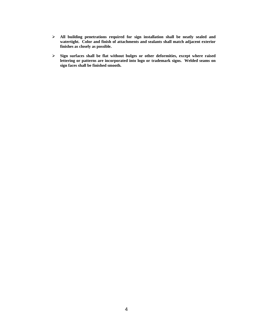- ¾ **All building penetrations required for sign installation shall be neatly sealed and watertight. Color and finish of attachments and sealants shall match adjacent exterior finishes as closely as possible.**
- ¾ **Sign surfaces shall be flat without bulges or other deformities, except where raised lettering or patterns are incorporated into logo or trademark signs. Welded seams on sign faces shall be finished smooth.**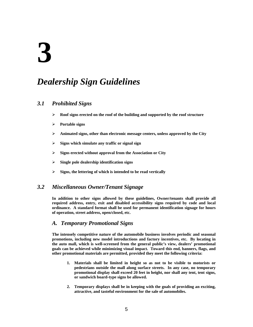## *Dealership Sign Guidelines*

#### *3.1 Prohibited Signs*

- ¾ **Roof signs erected on the roof of the building and supported by the roof structure**
- ¾ **Portable signs**
- ¾ **Animated signs, other than electronic message centers, unless approved by the City**
- ¾ **Signs which simulate any traffic or signal sign**
- ¾ **Signs erected without approval from the Association or City**
- ¾ **Single pole dealership identification signs**
- ¾ **Signs, the lettering of which is intended to be read vertically**

#### *3.2 Miscellaneous Owner/Tenant Signage*

**In addition to other signs allowed by these guidelines, Owner/tenants shall provide all required address, entry, exit and disabled accessibility signs required by code and local ordinance. A standard format shall be used for permanent identification signage for hours of operation, street address, open/closed, etc.** 

#### *A. Temporary Promotional Signs*

**The intensely competitive nature of the automobile business involves periodic and seasonal promotions, including new model introductions and factory incentives, etc. By locating in the auto mall, which is well-screened from the general public's view, dealers' promotional goals can be achieved while minimizing visual impact. Toward this end, banners, flags, and other promotional materials are permitted, provided they meet the following criteria:** 

- **1. Materials shall be limited in height so as not to be visible to motorists or pedestrians outside the mall along surface streets. In any case, no temporary promotional display shall exceed 20 feet in height, nor shall any tent, tent signs, or sandwich board-type signs be allowed.**
- **2. Temporary displays shall be in keeping with the goals of providing an exciting, attractive, and tasteful environment for the sale of automobiles.**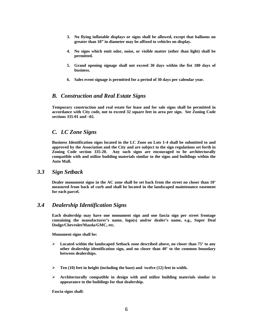- **3. No flying inflatable displays or signs shall be allowed, except that balloons no greater than 18" in diameter may be affixed to vehicles on display.**
- **4. No signs which emit odor, noise, or visible matter (other than light) shall be permitted.**
- **5. Grand opening signage shall not exceed 30 days within the fist 180 days of business.**
- **6. Sales event signage is permitted for a period of 30 days per calendar year.**

#### *B. Construction and Real Estate Signs*

**Temporary construction and real estate for lease and for sale signs shall be permitted in accordance with City code, not to exceed 32 square feet in area per sign. See Zoning Code sections 335-01 and –02.** 

#### *C. LC Zone Signs*

**Business Identification signs located in the LC Zone on Lots 1-4 shall be submitted to and approved by the Association and the City and are subject to the sign regulations set forth in Zoning Code section 335-20. Any such signs are encouraged to be architecturally compatible with and utilize building materials similar to the signs and buildings within the Auto Mall.**

#### *3.3 Sign Setback*

**Dealer monument signs in the AC zone shall be set back from the street no closer than 10' measured from back of curb and shall be located in the landscaped maintenance easement for each parcel.** 

#### *3.4 Dealership Identification Signs*

**Each dealership may have one monument sign and one fascia sign per street frontage containing the manufacturer's name, logo(s) and/or dealer's name, e.g., Super Deal Dodge/Chevrolet/Mazda/GMC, etc.**

**Monument signs shall be:** 

- ¾ **Located within the landscaped Setback zone described above, no closer than 75' to any other dealership identification sign, and no closer than 40' to the common boundary between dealerships.**
- ¾ **Ten (10) feet in height (including the base) and twelve (12) feet in width.**
- ¾ **Architecturally compatible in design with and utilize building materials similar in appearance to the buildings for that dealership.**

**Fascia signs shall:**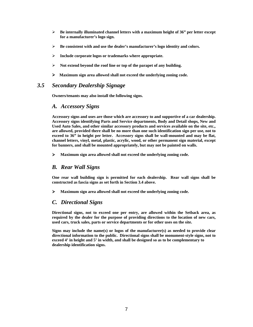- ¾ **Be internally illuminated channel letters with a maximum height of 36" per letter except for a manufacturer's logo sign.**
- ¾ **Be consistent with and use the dealer's manufacturer's logo identity and colors.**
- ¾ **Include corporate logos or trademarks where appropriate.**
- ¾ **Not extend beyond the roof line or top of the parapet of any building.**
- ¾ **Maximum sign area allowed shall not exceed the underlying zoning code.**

#### *3.5 Secondary Dealership Signage*

**Owners/tenants may also install the following signs.** 

#### *A. Accessory Signs*

**Accessory signs and uses are those which are accessory to and supportive of a car dealership. Accessory signs identifying Parts and Service departments, Body and Detail shops, New and Used Auto Sales, and other similar accessory products and services available on the site, etc., are allowed, provided there shall be no more than one such identification sign per use, not to exceed to 36" in height per letter. Accessory signs shall be wall-mounted and may be flat, channel letters, vinyl, metal, plastic, acrylic, wood, or other permanent sign material, except for banners, and shall be mounted appropriately, but may not be painted on walls.**

¾ **Maximum sign area allowed shall not exceed the underlying zoning code.** 

#### *B. Rear Wall Signs*

**One rear wall building sign is permitted for each dealership. Rear wall signs shall be constructed as fascia signs as set forth in Section 3.4 above.** 

¾ **Maximum sign area allowed shall not exceed the underlying zoning code.** 

#### *C. Directional Signs*

**Directional signs, not to exceed one per entry, are allowed within the Setback area, as required by the dealer for the purpose of providing directions to the location of new cars, used cars, truck sales, parts or service departments or for other uses on the site.** 

**Signs may include the name(s) or logos of the manufacturer(s) as needed to provide clear directional information to the public. Directional signs shall be monument-style signs, not to exceed 4' in height and 5' in width, and shall be designed so as to be complementary to dealership identification signs.**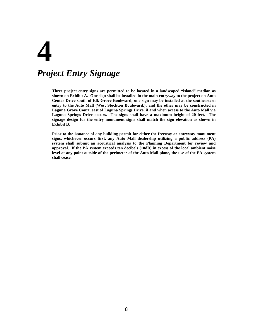# **4**  *Project Entry Signage*

**Three project entry signs are permitted to be located in a landscaped "island" median as shown on Exhibit A. One sign shall be installed in the main entryway to the project on Auto Center Drive south of Elk Grove Boulevard; one sign may be installed at the southeastern entry to the Auto Mall (West Stockton Boulevard.); and the other may be constructed in Laguna Grove Court, east of Laguna Springs Drive, if and when access to the Auto Mall via Laguna Springs Drive occurs. The signs shall have a maximum height of 20 feet. The signage design for the entry monument signs shall match the sign elevation as shown in Exhibit B.** 

**Prior to the issuance of any building permit for either the freeway or entryway monument signs, whichever occurs first, any Auto Mall dealership utilizing a public address (PA) system shall submit an acoustical analysis to the Planning Department for review and approval. If the PA system exceeds ten decibels (10dB) in excess of the local ambient noise level at any point outside of the perimeter of the Auto Mall plane, the use of the PA system shall cease.**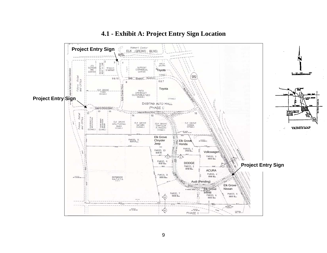

### **4.1 - Exhibit A: Project Entry Sign Location**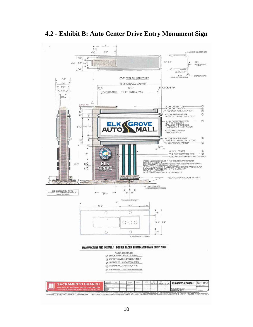

**4.2 - Exhibit B: Auto Center Drive Entry Monument Sign**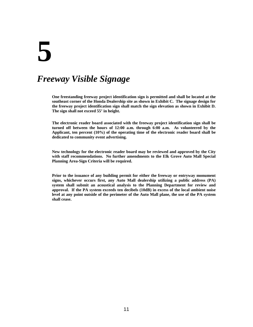## *Freeway Visible Signage*

**One freestanding freeway project identification sign is permitted and shall be located at the southeast corner of the Honda Dealership site as shown in Exhibit C. The signage design for the freeway project identification sign shall match the sign elevation as shown in Exhibit D. The sign shall not exceed 55' in height.** 

**The electronic reader board associated with the freeway project identification sign shall be turned off between the hours of 12:00 a.m. through 6:00 a.m. As volunteered by the Applicant, ten percent (10%) of the operating time of the electronic reader board shall be dedicated to community event advertising.** 

**New technology for the electronic reader board may be reviewed and approved by the City with staff recommendations. No further amendments to the Elk Grove Auto Mall Special Planning Area-Sign Criteria will be required.** 

**Prior to the issuance of any building permit for either the freeway or entryway monument signs, whichever occurs first, any Auto Mall dealership utilizing a public address (PA) system shall submit an acoustical analysis to the Planning Department for review and approval. If the PA system exceeds ten decibels (10dB) in excess of the local ambient noise level at any point outside of the perimeter of the Auto Mall plane, the use of the PA system shall cease.**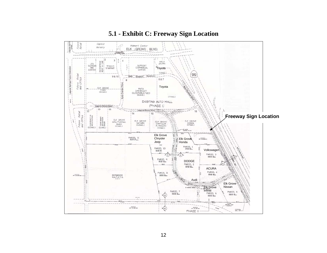

### **5.1 - Exhibit C: Freeway Sign Location**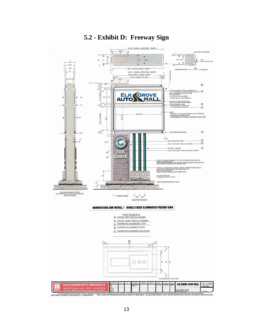

### **5.2 - Exhibit D: Freeway Sign**